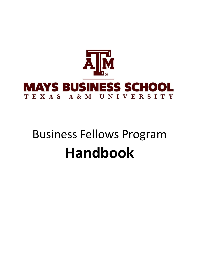

# Business Fellows Program **Handbook**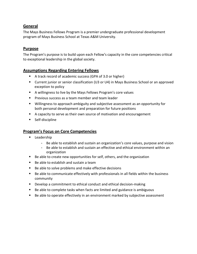# **General**

The Mays Business Fellows Program is a premier undergraduate professional development program of Mays Business School at Texas A&M University.

#### **Purpose**

The Program's purpose is to build upon each Fellow's capacity in the core competencies critical to exceptional leadership in the global society.

#### **Assumptions Regarding Entering Fellows**

- A track record of academic success (GPA of 3.0 or higher)
- Current junior or senior classification (U3 or U4) in Mays Business School or an approved exception to policy
- A willingness to live by the Mays Fellows Program's core values
- **Previous success as a team member and team leader**
- Willingness to approach ambiguity and subjective assessment as an opportunity for both personal development and preparation for future positions
- A capacity to serve as their own source of motivation and encouragement
- **Self-discipline**

#### **Program's Focus on Core Competencies**

- **Leadership** 
	- Be able to establish and sustain an organization's core values, purpose and vision
	- Be able to establish and sustain an effective and ethical environment within an organization
- Be able to create new opportunities for self, others, and the organization
- Be able to establish and sustain a team
- Be able to solve problems and make effective decisions
- Be able to communicate effectively with professionals in all fields within the business community
- **Develop a commitment to ethical conduct and ethical decision-making**
- Be able to complete tasks when facts are limited and guidance is ambiguous
- Be able to operate effectively in an environment marked by subjective assessment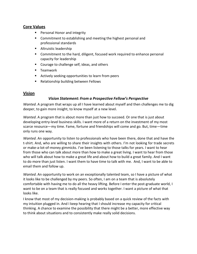#### **Core Values**

- **Personal Honor and integrity**
- **EXTER** Commitment to establishing and meeting the highest personal and professional standards
- **Altruistic leadership**
- **Commitment to the hard, diligent, focused work required to enhance personal** capacity for leadership
- Courage to challenge self, ideas, and others
- **Teamwork**
- **EXTENUARY EXAGO ACT** Actively seeking opportunities to learn from peers
- **Relationship building between Fellows**

#### **Vision**

#### *Vision Statement: From a Prospective Fellow's Perspective*

*Wanted*. A program that wraps up all I have learned about myself and then challenges me to dig deeper, to gain more insight, to know myself at a new level.

*Wanted*. A program that is about more than just how to succeed. Or one that is just about developing entry-level business skills. I want more of a return on the investment of my most scarce resource—my time. Fame, fortune and friendships will come and go. But, time—time only runs one way.

*Wanted*. An opportunity to listen to professionals who have been there, done that and have the t-shirt. And, who are willing to share their insights with others. I'm not looking for trade secrets or make-a-lot-of-money gimmicks. I've been listening to those talks for years. I want to hear from those who can talk about more than how to make a great living. I want to hear from those who will talk about how to make a great life and about how to build a great family. And I want to do more than just listen. I want them to have time to talk with me. And, I want to be able to email them and follow up.

*Wanted*. An opportunity to work on an exceptionally talented team, so I have a picture of what it looks like to be challenged by my peers. So often, I am on a team that is absolutely comfortable with having me to do all the heavy lifting. Before I enter the post-graduate world, I want to be on a team that is really focused and works together. I want a picture of what that looks like.

I know that most of my decision-making is probably based on a quick review of the facts with my intuition plugged in. And I keep hearing that I should increase my capacity for critical thinking. A chance to examine the possibility that there might be a better, more effective way to think about situations and to consistently make really solid decisions.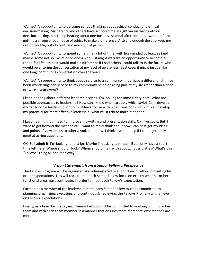*Wanted*. An opportunity to do some serious thinking about ethical conduct and ethical decision-making. My parents and others have schooled me in right versus wrong ethical decision-making, but I keep hearing about one business scandal after another. I wonder if I am getting a strong enough dose of ethics to make a difference. A strong enough dose to keep me out of trouble, out of court, and even out of prison.

*Wanted*. An opportunity to spend some time, a lot of time, with like-minded colleagues (and maybe some not so like-minded ones) who just might warrant an opportunity to become a friend for life. I think it would make a difference if I had others I could talk to in the future who would be entering the conversation at my level of awareness. Best case, it might just be like one long, continuous conversation over the years.

*Wanted*. An opportunity to think about service to a community in perhaps a different light. I've been wondering: can service to my community be an ongoing part of my life rather than a once or twice a year event?

I keep hearing about different leadership styles. I'm looking for some clarity here. What are possible approaches to leadership? How can I know when to apply which style? Can I develop my capacity for leadership, or do I just have to live with what I was born with? If I can develop my potential for more effective leadership, what must I do to make it happen?

I keep hearing that I need to improve my writing and presentation skills. OK, I've got it. But, I want to get beyond the mechanical. I want to really think about how I can best get my ideas and points of view across to others. And, somehow, I think it would help if I could get really good at asking questions.

OK. So I admit it. I'm looking for … a lot. Maybe I'm asking too much. But, I only have a short time left here. Where should I look? Whom should I talk with about…. possibilities? What's this "Fellows" thing all about anyway?

#### *Vision Statement: from a Senior Fellow's Perspective*

The Fellows Program will be organized and administered to support each Fellow in meeting his or her expectations. This will require that each Senior Fellow focus on exactly what his or her functional area must contribute, in order to meet each Fellow's expectation.

Further, as a member of the leadership team, each Senior Fellow must be committed to planning, organizing, executing, and continuously reviewing the Fellows Program with an eye on Fellows' expectations.

Finally, as a team facilitator, each Senior Fellow must be committed to working with his or her team and with each team member in a manner that ensures team members' expectations are met.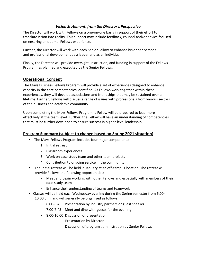#### *Vision Statement: from the Director's Perspective*

The Director will work with Fellows on a one-on-one basis in support of their effort to translate vision into reality. This support may include feedback, counsel and/or advice focused on ensuring an optimal Fellows experience.

Further, the Director will work with each Senior Fellow to enhance his or her personal and professional development as a leader and as an individual.

Finally, the Director will provide oversight, instruction, and funding in support of the Fellows Program, as planned and executed by the Senior Fellows.

#### **Operational Concept**

The Mays Business Fellows Program will provide a set of experiences designed to enhance capacity in the core competencies identified. As Fellows work together within these experiences, they will develop associations and friendships that may be sustained over a lifetime. Further, Fellows will discuss a range of issues with professionals from various sectors of the business and academic community.

Upon completing the Mays Fellows Program, a Fellow will be prepared to lead more effectively at the team level. Further, the Fellow will have an understanding of competencies that must be further developed to ensure success in higher-level leadership.

### **Program Summary (subject to change based on Spring 2021 situation)**

- **The Mays Fellows Program includes four major components:** 
	- 1. Initial retreat
	- 2. Classroom experiences
	- 3. Work on case study team and other team projects
	- 4. Contribution to ongoing service in the community
- The initial retreat will be held in January at an off-campus location. The retreat will provide Fellows the following opportunities:
	- Meet and begin working with other Fellows and especially with members of their case study team
	- Enhance their understanding of teams and teamwork
- Classes will be held each Wednesday evening during the Spring semester from 6:00- 10:00 p.m. and will generally be organized as follows:
	- 6:00-6:45 Presentation by industry partners or guest speaker
	- 7:00-7:45 Meet and dine with guests for the evening
	- 8:00-10:00 Discussion of presentation

Presentation by Director

Discussion of program administration by Senior Fellows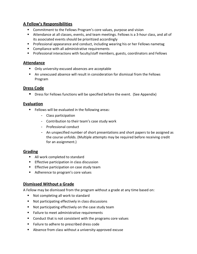# **A Fellow's Responsibilities**

- **E** Commitment to the Fellows Program's core values, purpose and vision
- Attendance at all classes, events, and team meetings. Fellows is a 3-hour class, and all of its associated events should be prioritized accordingly
- **Professional appearance and conduct, including wearing his or her Fellows nametag**
- Compliance with all administrative requirements
- Professional interactions with faculty/staff members, guests, coordinators and Fellows

#### **Attendance**

- **Diangle 1** Only university-excused absences are acceptable
- An unexcused absence will result in consideration for dismissal from the Fellows Program

#### **Dress Code**

**Dress for Fellows functions will be specified before the event. (See Appendix)** 

### **Evaluation**

- **Fellows will be evaluated in the following areas:** 
	- Class participation
	- Contribution to their team's case study work
	- Professional conduct
	- An unspecified number of short presentations and short papers to be assigned as the course unfolds. (Multiple attempts may be required before receiving credit for an assignment.)

### **Grading**

- All work completed to standard
- **Effective participation in class discussion**
- **Effective participation on case study team**
- Adherence to program's core values

### **Dismissed Without a Grade**

A Fellow may be dismissed from the program without a grade at any time based on:

- Not completing all work to standard
- Not participating effectively in class discussions
- Not participating effectively on the case study team
- **Failure to meet administrative requirements**
- Conduct that is not consistent with the programs core values
- Failure to adhere to prescribed dress code
- Absence from class without a university-approved excuse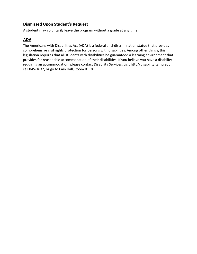# **Dismissed Upon Student's Request**

A student may voluntarily leave the program without a grade at any time.

# **ADA**

The Americans with Disabilities Act (ADA) is a federal anti-discrimination statue that provides comprehensive civil rights protection for persons with disabilities. Among other things, this legislation requires that all students with disabilities be guaranteed a learning environment that provides for reasonable accommodation of their disabilities. If you believe you have a disability requiring an accommodation, please contact Disability Services, visit http//disability.tamu.edu, call 845-1637, or go to Cain Hall, Room B118.